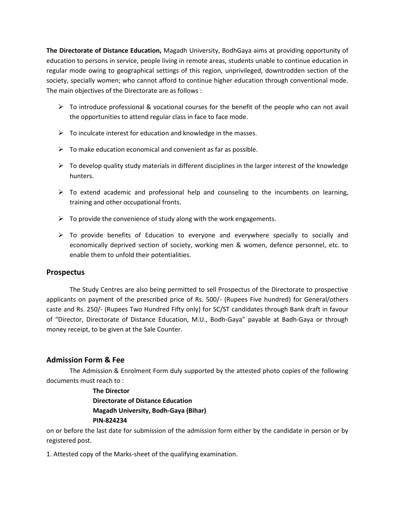**The Directorate of Distance Education,** Magadh University, BodhGaya aims at providing opportunity of education to persons in service, people living in remote areas, students unable to continue education in regular mode owing to geographical settings of this region, unprivileged, downtrodden section of the society, specially women; who cannot afford to continue higher education through conventional mode. The main objectives of the Directorate are as follows :

- $\triangleright$  To introduce professional & vocational courses for the benefit of the people who can not avail the opportunities to attend regular class in face to face mode.
- $\triangleright$  To inculcate interest for education and knowledge in the masses.
- $\triangleright$  To make education economical and convenient as far as possible.
- $\triangleright$  To develop quality study materials in different disciplines in the larger interest of the knowledge hunters.
- $\triangleright$  To extend academic and professional help and counseling to the incumbents on learning, training and other occupational fronts.
- $\triangleright$  To provide the convenience of study along with the work engagements.
- $\triangleright$  To provide benefits of Education to everyone and everywhere specially to socially and economically deprived section of society, working men & women, defence personnel, etc. to enable them to unfold their potentialities.

#### **Prospectus**

The Study Centres are also being permitted to sell Prospectus of the Directorate to prospective applicants on payment of the prescribed price of Rs. 500/- (Rupees Five hundred) for General/others caste and Rs. 250/- (Rupees Two Hundred Fifty only) for SC/ST candidates through Bank draft in favour of "Director, Directorate of Distance Education, M.U., Bodh-Gaya" payable at Badh-Gaya or through money receipt, to be given at the Sale Counter.

#### **Admission Form & Fee**

The Admission & Enrolment Form duly supported by the attested photo copies of the following documents must reach to :

> **The Director Directorate of Distance Education Magadh University, Bodh-Gaya (Bihar) PIN-824234**

on or before the last date for submission of the admission form either by the candidate in person or by registered post.

1. Attested copy of the Marks-sheet of the qualifying examination.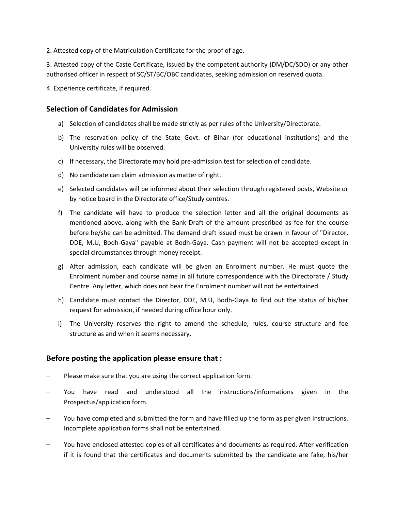2. Attested copy of the Matriculation Certificate for the proof of age.

3. Attested copy of the Caste Certificate, issued by the competent authority (DM/DC/SDO) or any other authorised officer in respect of SC/ST/BC/OBC candidates, seeking admission on reserved quota.

4. Experience certificate, if required.

### **Selection of Candidates for Admission**

- a) Selection of candidates shall be made strictly as per rules of the University/Directorate.
- b) The reservation policy of the State Govt. of Bihar (for educational institutions) and the University rules will be observed.
- c) If necessary, the Directorate may hold pre-admission test for selection of candidate.
- d) No candidate can claim admission as matter of right.
- e) Selected candidates will be informed about their selection through registered posts, Website or by notice board in the Directorate office/Study centres.
- f) The candidate will have to produce the selection letter and all the original documents as mentioned above, along with the Bank Draft of the amount prescribed as fee for the course before he/she can be admitted. The demand draft issued must be drawn in favour of "Director, DDE, M.U, Bodh-Gaya" payable at Bodh-Gaya. Cash payment will not be accepted except in special circumstances through money receipt.
- g) After admission, each candidate will be given an Enrolment number. He must quote the Enrolment number and course name in all future correspondence with the Directorate / Study Centre. Any letter, which does not bear the Enrolment number will not be entertained.
- h) Candidate must contact the Director, DDE, M.U, Bodh-Gaya to find out the status of his/her request for admission, if needed during office hour only.
- i) The University reserves the right to amend the schedule, rules, course structure and fee structure as and when it seems necessary.

## **Before posting the application please ensure that :**

- Please make sure that you are using the correct application form.
- You have read and understood all the instructions/informations given in the Prospectus/application form.
- You have completed and submitted the form and have filled up the form as per given instructions. Incomplete application forms shall not be entertained.
- You have enclosed attested copies of all certificates and documents as required. After verification if it is found that the certificates and documents submitted by the candidate are fake, his/her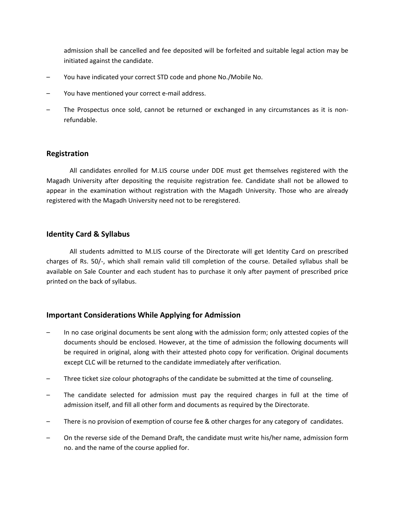admission shall be cancelled and fee deposited will be forfeited and suitable legal action may be initiated against the candidate.

- You have indicated your correct STD code and phone No./Mobile No.
- You have mentioned your correct e-mail address.
- The Prospectus once sold, cannot be returned or exchanged in any circumstances as it is nonrefundable.

#### **Registration**

All candidates enrolled for M.LIS course under DDE must get themselves registered with the Magadh University after depositing the requisite registration fee. Candidate shall not be allowed to appear in the examination without registration with the Magadh University. Those who are already registered with the Magadh University need not to be reregistered.

#### **Identity Card & Syllabus**

All students admitted to M.LIS course of the Directorate will get Identity Card on prescribed charges of Rs. 50/-, which shall remain valid till completion of the course. Detailed syllabus shall be available on Sale Counter and each student has to purchase it only after payment of prescribed price printed on the back of syllabus.

#### **Important Considerations While Applying for Admission**

- In no case original documents be sent along with the admission form; only attested copies of the documents should be enclosed. However, at the time of admission the following documents will be required in original, along with their attested photo copy for verification. Original documents except CLC will be returned to the candidate immediately after verification.
- Three ticket size colour photographs of the candidate be submitted at the time of counseling.
- The candidate selected for admission must pay the required charges in full at the time of admission itself, and fill all other form and documents as required by the Directorate.
- There is no provision of exemption of course fee & other charges for any category of candidates.
- On the reverse side of the Demand Draft, the candidate must write his/her name, admission form no. and the name of the course applied for.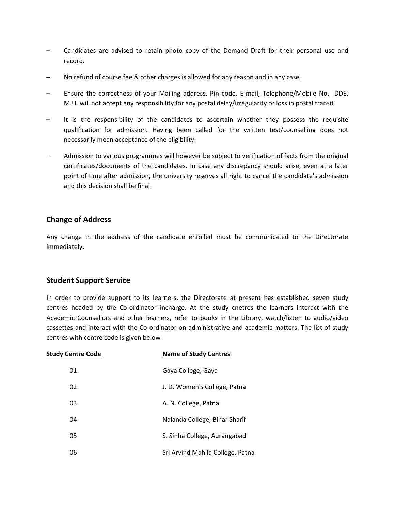- Candidates are advised to retain photo copy of the Demand Draft for their personal use and record.
- No refund of course fee & other charges is allowed for any reason and in any case.
- Ensure the correctness of your Mailing address, Pin code, E-mail, Telephone/Mobile No. DDE, M.U. will not accept any responsibility for any postal delay/irregularity or loss in postal transit.
- It is the responsibility of the candidates to ascertain whether they possess the requisite qualification for admission. Having been called for the written test/counselling does not necessarily mean acceptance of the eligibility.
- Admission to various programmes will however be subject to verification of facts from the original certificates/documents of the candidates. In case any discrepancy should arise, even at a later point of time after admission, the university reserves all right to cancel the candidate's admission and this decision shall be final.

## **Change of Address**

Any change in the address of the candidate enrolled must be communicated to the Directorate immediately.

## **Student Support Service**

In order to provide support to its learners, the Directorate at present has established seven study centres headed by the Co-ordinator incharge. At the study cnetres the learners interact with the Academic Counsellors and other learners, refer to books in the Library, watch/listen to audio/video cassettes and interact with the Co-ordinator on administrative and academic matters. The list of study centres with centre code is given below :

| <b>Study Centre Code</b> | <b>Name of Study Centres</b>     |
|--------------------------|----------------------------------|
| 01                       | Gaya College, Gaya               |
| 02                       | J. D. Women's College, Patna     |
| 03                       | A. N. College, Patna             |
| 04                       | Nalanda College, Bihar Sharif    |
| 05                       | S. Sinha College, Aurangabad     |
| 06                       | Sri Arvind Mahila College, Patna |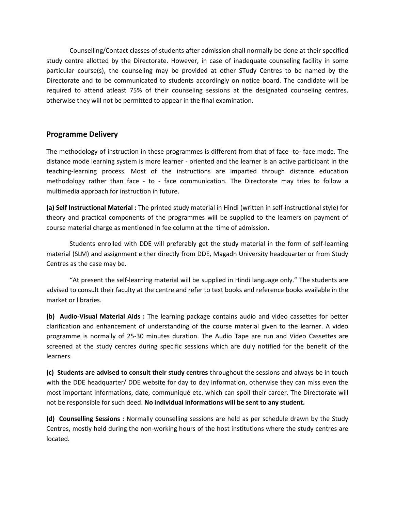Counselling/Contact classes of students after admission shall normally be done at their specified study centre allotted by the Directorate. However, in case of inadequate counseling facility in some particular course(s), the counseling may be provided at other STudy Centres to be named by the Directorate and to be communicated to students accordingly on notice board. The candidate will be required to attend atleast 75% of their counseling sessions at the designated counseling centres, otherwise they will not be permitted to appear in the final examination.

### **Programme Delivery**

The methodology of instruction in these programmes is different from that of face -to- face mode. The distance mode learning system is more learner - oriented and the learner is an active participant in the teaching-learning process. Most of the instructions are imparted through distance education methodology rather than face - to - face communication. The Directorate may tries to follow a multimedia approach for instruction in future.

**(a) Self Instructional Material :** The printed study material in Hindi (written in self-instructional style) for theory and practical components of the programmes will be supplied to the learners on payment of course material charge as mentioned in fee column at the time of admission.

Students enrolled with DDE will preferably get the study material in the form of self-learning material (SLM) and assignment either directly from DDE, Magadh University headquarter or from Study Centres as the case may be.

"At present the self-learning material will be supplied in Hindi language only." The students are advised to consult their faculty at the centre and refer to text books and reference books available in the market or libraries.

**(b) Audio-Visual Material Aids :** The learning package contains audio and video cassettes for better clarification and enhancement of understanding of the course material given to the learner. A video programme is normally of 25-30 minutes duration. The Audio Tape are run and Video Cassettes are screened at the study centres during specific sessions which are duly notified for the benefit of the learners.

**(c) Students are advised to consult their study centres** throughout the sessions and always be in touch with the DDE headquarter/ DDE website for day to day information, otherwise they can miss even the most important informations, date, communiqué etc. which can spoil their career. The Directorate will not be responsible for such deed. **No individual informations will be sent to any student.**

**(d) Counselling Sessions :** Normally counselling sessions are held as per schedule drawn by the Study Centres, mostly held during the non-working hours of the host institutions where the study centres are located.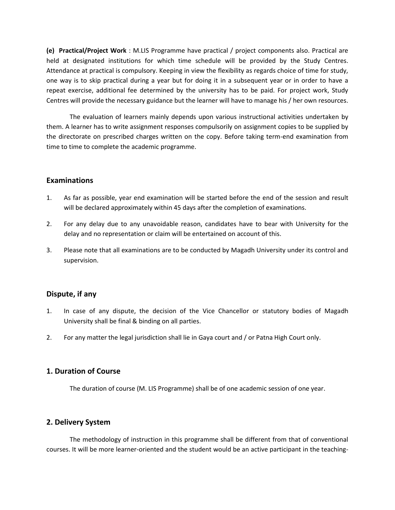**(e) Practical/Project Work** : M.LIS Programme have practical / project components also. Practical are held at designated institutions for which time schedule will be provided by the Study Centres. Attendance at practical is compulsory. Keeping in view the flexibility as regards choice of time for study, one way is to skip practical during a year but for doing it in a subsequent year or in order to have a repeat exercise, additional fee determined by the university has to be paid. For project work, Study Centres will provide the necessary guidance but the learner will have to manage his / her own resources.

The evaluation of learners mainly depends upon various instructional activities undertaken by them. A learner has to write assignment responses compulsorily on assignment copies to be supplied by the directorate on prescribed charges written on the copy. Before taking term-end examination from time to time to complete the academic programme.

#### **Examinations**

- 1. As far as possible, year end examination will be started before the end of the session and result will be declared approximately within 45 days after the completion of examinations.
- 2. For any delay due to any unavoidable reason, candidates have to bear with University for the delay and no representation or claim will be entertained on account of this.
- 3. Please note that all examinations are to be conducted by Magadh University under its control and supervision.

#### **Dispute, if any**

- 1. In case of any dispute, the decision of the Vice Chancellor or statutory bodies of Magadh University shall be final & binding on all parties.
- 2. For any matter the legal jurisdiction shall lie in Gaya court and / or Patna High Court only.

#### **1. Duration of Course**

The duration of course (M. LIS Programme) shall be of one academic session of one year.

#### **2. Delivery System**

The methodology of instruction in this programme shall be different from that of conventional courses. It will be more learner-oriented and the student would be an active participant in the teaching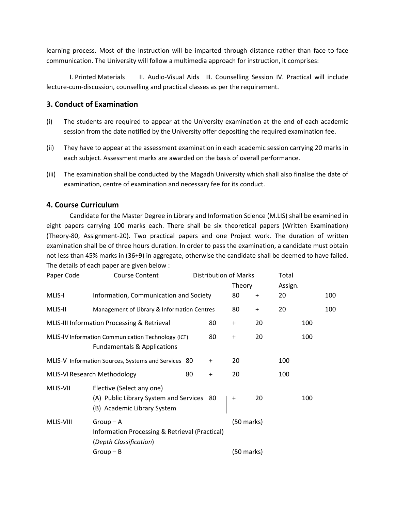learning process. Most of the Instruction will be imparted through distance rather than face-to-face communication. The University will follow a multimedia approach for instruction, it comprises:

I. Printed Materials II. Audio-Visual Aids III. Counselling Session IV. Practical will include lecture-cum-discussion, counselling and practical classes as per the requirement.

### **3. Conduct of Examination**

- (i) The students are required to appear at the University examination at the end of each academic session from the date notified by the University offer depositing the required examination fee.
- (ii) They have to appear at the assessment examination in each academic session carrying 20 marks in each subject. Assessment marks are awarded on the basis of overall performance.
- (iii) The examination shall be conducted by the Magadh University which shall also finalise the date of examination, centre of examination and necessary fee for its conduct.

#### **4. Course Curriculum**

Candidate for the Master Degree in Library and Information Science (M.LIS) shall be examined in eight papers carrying 100 marks each. There shall be six theoretical papers (Written Examination) (Theory-80, Assignment-20). Two practical papers and one Project work. The duration of written examination shall be of three hours duration. In order to pass the examination, a candidate must obtain not less than 45% marks in (36+9) in aggregate, otherwise the candidate shall be deemed to have failed. The details of each paper are given below :

| Paper Code<br>Distribution of Marks<br><b>Course Content</b> |                                                                                                       |           |           |              | Total     |         |     |     |
|--------------------------------------------------------------|-------------------------------------------------------------------------------------------------------|-----------|-----------|--------------|-----------|---------|-----|-----|
|                                                              |                                                                                                       |           |           | Theory       |           | Assign. |     |     |
| MLIS-I                                                       | Information, Communication and Society                                                                |           |           | 80           | $\ddot{}$ | 20      |     | 100 |
| MLIS-II                                                      | Management of Library & Information Centres                                                           |           |           | 80           | $\ddot{}$ | 20      |     | 100 |
| MLIS-III Information Processing & Retrieval<br>80            |                                                                                                       |           |           | $\ddot{}$    | 20        |         | 100 |     |
|                                                              | MLIS-IV Information Communication Technology (ICT)<br><b>Fundamentals &amp; Applications</b>          |           | 80        | $\ddot{}$    | 20        |         | 100 |     |
| MLIS-V Information Sources, Systems and Services 80          |                                                                                                       |           | $\ddot{}$ | 20           |           | 100     |     |     |
| MLIS-VI Research Methodology<br>80                           |                                                                                                       | $\ddot{}$ | 20        |              | 100       |         |     |     |
| MLIS-VII                                                     | Elective (Select any one)<br>(A) Public Library System and Services 80<br>(B) Academic Library System |           |           | $\ddot{}$    | 20        |         | 100 |     |
| MLIS-VIII                                                    | $Group-A$<br>Information Processing & Retrieval (Practical)<br>(Depth Classification)                 |           |           | $(50$ marks) |           |         |     |     |
|                                                              | $Group - B$                                                                                           |           |           | (50 marks)   |           |         |     |     |